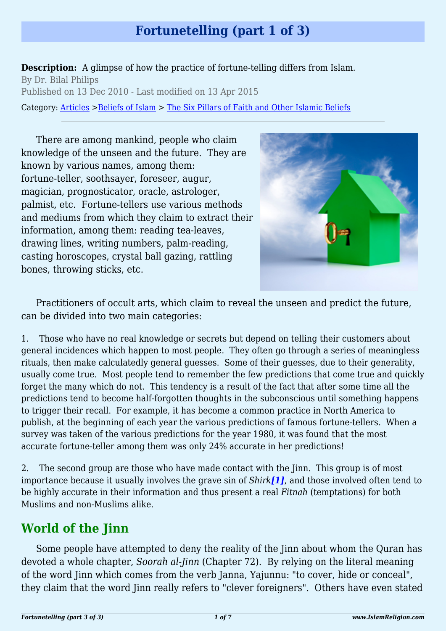# **Fortunetelling (part 1 of 3)**

**Description:** A glimpse of how the practice of fortune-telling differs from Islam. By Dr. Bilal Philips Published on 13 Dec 2010 - Last modified on 13 Apr 2015 Category: [Articles](http://www.islamreligion.com/articles/) >[Beliefs of Islam](http://www.islamreligion.com/category/48/) > [The Six Pillars of Faith and Other Islamic Beliefs](http://www.islamreligion.com/category/50/)

There are among mankind, people who claim knowledge of the unseen and the future. They are known by various names, among them: fortune-teller, soothsayer, foreseer, augur, magician, prognosticator, oracle, astrologer, palmist, etc. Fortune-tellers use various methods and mediums from which they claim to extract their information, among them: reading tea-leaves, drawing lines, writing numbers, palm-reading, casting horoscopes, crystal ball gazing, rattling bones, throwing sticks, etc.



Practitioners of occult arts, which claim to reveal the unseen and predict the future, can be divided into two main categories:

1. Those who have no real knowledge or secrets but depend on telling their customers about general incidences which happen to most people. They often go through a series of meaningless rituals, then make calculatedly general guesses. Some of their guesses, due to their generality, usually come true. Most people tend to remember the few predictions that come true and quickly forget the many which do not. This tendency is a result of the fact that after some time all the predictions tend to become half-forgotten thoughts in the subconscious until something happens to trigger their recall. For example, it has become a common practice in North America to publish, at the beginning of each year the various predictions of famous fortune-tellers. When a survey was taken of the various predictions for the year 1980, it was found that the most accurate fortune-teller among them was only 24% accurate in her predictions!

<span id="page-0-0"></span>2. The second group are those who have made contact with the Jinn. This group is of most importance because it usually involves the grave sin of *Shirk[\[1\]](#page-2-0)*, and those involved often tend to be highly accurate in their information and thus present a real *Fitnah* (temptations) for both Muslims and non-Muslims alike.

## **World of the Jinn**

Some people have attempted to deny the reality of the Jinn about whom the Quran has devoted a whole chapter, *Soorah al-Jinn* (Chapter 72). By relying on the literal meaning of the word Jinn which comes from the verb Janna, Yajunnu: "to cover, hide or conceal", they claim that the word Jinn really refers to "clever foreigners". Others have even stated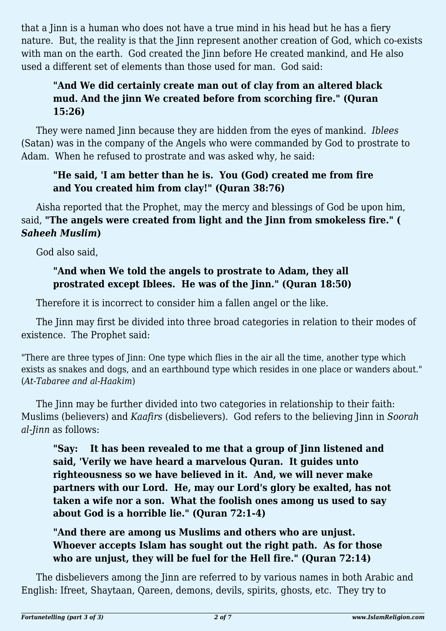that a Jinn is a human who does not have a true mind in his head but he has a fiery nature. But, the reality is that the Jinn represent another creation of God, which co-exists with man on the earth. God created the Jinn before He created mankind, and He also used a different set of elements than those used for man. God said:

### **"And We did certainly create man out of clay from an altered black mud. And the jinn We created before from scorching fire." (Quran 15:26)**

They were named Jinn because they are hidden from the eyes of mankind. *Iblees* (Satan) was in the company of the Angels who were commanded by God to prostrate to Adam. When he refused to prostrate and was asked why, he said:

### **"He said, 'I am better than he is. You (God) created me from fire and You created him from clay!" (Quran 38:76)**

Aisha reported that the Prophet, may the mercy and blessings of God be upon him, said, **"The angels were created from light and the Jinn from smokeless fire." (** *Saheeh Muslim***)**

God also said,

### **"And when We told the angels to prostrate to Adam, they all prostrated except Iblees. He was of the Jinn." (Quran 18:50)**

Therefore it is incorrect to consider him a fallen angel or the like.

The Jinn may first be divided into three broad categories in relation to their modes of existence. The Prophet said:

"There are three types of Jinn: One type which flies in the air all the time, another type which exists as snakes and dogs, and an earthbound type which resides in one place or wanders about." (*At-Tabaree and al-Haakim*)

The Jinn may be further divided into two categories in relationship to their faith: Muslims (believers) and *Kaafirs* (disbelievers). God refers to the believing Jinn in *Soorah al-Jinn* as follows:

**"Say: It has been revealed to me that a group of Jinn listened and said, 'Verily we have heard a marvelous Quran. It guides unto righteousness so we have believed in it. And, we will never make partners with our Lord. He, may our Lord's glory be exalted, has not taken a wife nor a son. What the foolish ones among us used to say about God is a horrible lie." (Quran 72:1-4)**

### **"And there are among us Muslims and others who are unjust. Whoever accepts Islam has sought out the right path. As for those who are unjust, they will be fuel for the Hell fire." (Quran 72:14)**

The disbelievers among the Jinn are referred to by various names in both Arabic and English: Ifreet, Shaytaan, Qareen, demons, devils, spirits, ghosts, etc. They try to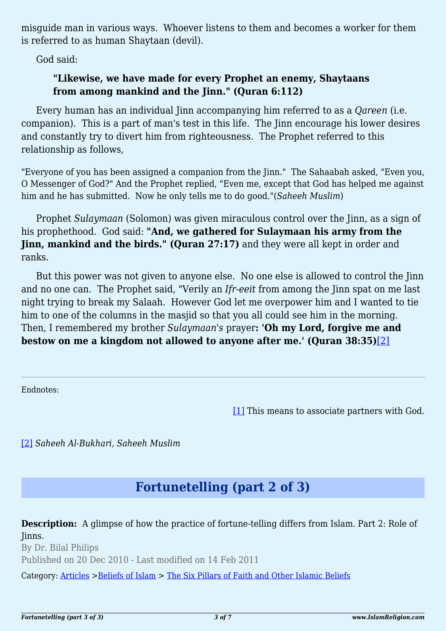misguide man in various ways. Whoever listens to them and becomes a worker for them is referred to as human Shaytaan (devil).

God said:

### **"Likewise, we have made for every Prophet an enemy, Shaytaans from among mankind and the Jinn." (Quran 6:112)**

Every human has an individual Jinn accompanying him referred to as a *Qareen* (i.e. companion). This is a part of man's test in this life. The Jinn encourage his lower desires and constantly try to divert him from righteousness. The Prophet referred to this relationship as follows,

"Everyone of you has been assigned a companion from the Jinn." The Sahaabah asked, "Even you, O Messenger of God?" And the Prophet replied, "Even me, except that God has helped me against him and he has submitted. Now he only tells me to do good."(*Saheeh Muslim*)

Prophet *Sulaymaan* (Solomon) was given miraculous control over the Jinn, as a sign of his prophethood. God said: **"And, we gathered for Sulaymaan his army from the Jinn, mankind and the birds." (Quran 27:17)** and they were all kept in order and ranks.

But this power was not given to anyone else. No one else is allowed to control the Jinn and no one can. The Prophet said, "Verily an *Ifr-eeit* from among the Jinn spat on me last night trying to break my Salaah. However God let me overpower him and I wanted to tie him to one of the columns in the masjid so that you all could see him in the morning. Then, I remembered my brother *Sulaymaan's* prayer**: 'Oh my Lord, forgive me and bestow on me a kingdom not allowed to anyone after me.' (Quran 38:35)**[\[2\]](#page-2-1)

<span id="page-2-2"></span><span id="page-2-0"></span>Endnotes:

[\[1\]](#page-0-0) This means to associate partners with God.

<span id="page-2-1"></span>[\[2\]](#page-2-2) *Saheeh Al-Bukhari, Saheeh Muslim*

# **Fortunetelling (part 2 of 3)**

**Description:** A glimpse of how the practice of fortune-telling differs from Islam. Part 2: Role of Jinns. By Dr. Bilal Philips Published on 20 Dec 2010 - Last modified on 14 Feb 2011

Category: [Articles](http://www.islamreligion.com/articles/) >[Beliefs of Islam](http://www.islamreligion.com/category/48/) > [The Six Pillars of Faith and Other Islamic Beliefs](http://www.islamreligion.com/category/50/)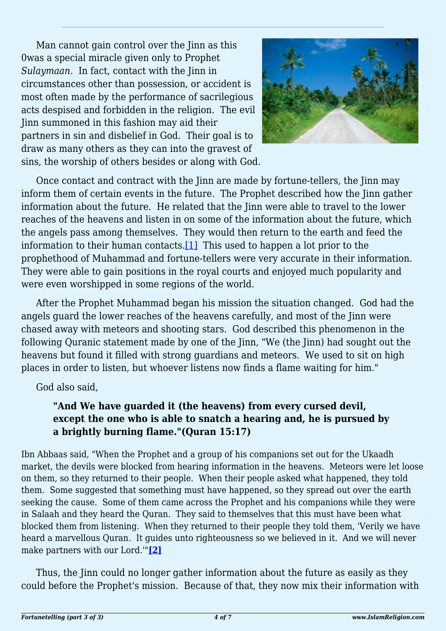Man cannot gain control over the Jinn as this 0was a special miracle given only to Prophet *Sulaymaan*. In fact, contact with the Jinn in circumstances other than possession, or accident is most often made by the performance of sacrilegious acts despised and forbidden in the religion. The evil Jinn summoned in this fashion may aid their partners in sin and disbelief in God. Their goal is to draw as many others as they can into the gravest of sins, the worship of others besides or along with God.



Once contact and contract with the Jinn are made by fortune-tellers, the Jinn may inform them of certain events in the future. The Prophet described how the Jinn gather information about the future. He related that the Jinn were able to travel to the lower reaches of the heavens and listen in on some of the information about the future, which the angels pass among themselves. They would then return to the earth and feed the information to their human contacts. $[1]$  This used to happen a lot prior to the prophethood of Muhammad and fortune-tellers were very accurate in their information. They were able to gain positions in the royal courts and enjoyed much popularity and were even worshipped in some regions of the world.

<span id="page-3-0"></span>After the Prophet Muhammad began his mission the situation changed. God had the angels guard the lower reaches of the heavens carefully, and most of the Jinn were chased away with meteors and shooting stars. God described this phenomenon in the following Quranic statement made by one of the Jinn, "We (the Jinn) had sought out the heavens but found it filled with strong guardians and meteors. We used to sit on high places in order to listen, but whoever listens now finds a flame waiting for him."

God also said,

### **"And We have guarded it (the heavens) from every cursed devil, except the one who is able to snatch a hearing and, he is pursued by a brightly burning flame."(Quran 15:17)**

Ibn Abbaas said, "When the Prophet and a group of his companions set out for the Ukaadh market, the devils were blocked from hearing information in the heavens. Meteors were let loose on them, so they returned to their people. When their people asked what happened, they told them. Some suggested that something must have happened, so they spread out over the earth seeking the cause. Some of them came across the Prophet and his companions while they were in Salaah and they heard the Quran. They said to themselves that this must have been what blocked them from listening. When they returned to their people they told them, 'Verily we have heard a marvellous Ouran. It guides unto righteousness so we believed in it. And we will never make partners with our Lord.'"**[\[2\]](#page-4-1)**

<span id="page-3-1"></span>Thus, the Jinn could no longer gather information about the future as easily as they could before the Prophet's mission. Because of that, they now mix their information with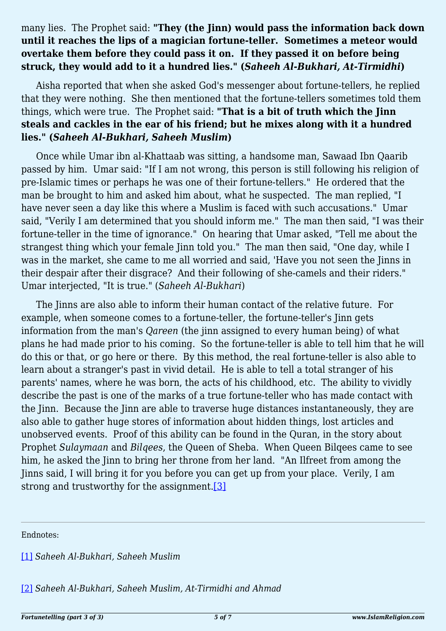#### many lies. The Prophet said: **"They (the Jinn) would pass the information back down until it reaches the lips of a magician fortune-teller. Sometimes a meteor would overtake them before they could pass it on. If they passed it on before being struck, they would add to it a hundred lies." (***Saheeh Al-Bukhari, At-Tirmidhi***)**

Aisha reported that when she asked God's messenger about fortune-tellers, he replied that they were nothing. She then mentioned that the fortune-tellers sometimes told them things, which were true. The Prophet said: **"That is a bit of truth which the Jinn steals and cackles in the ear of his friend; but he mixes along with it a hundred lies." (***Saheeh Al-Bukhari, Saheeh Muslim***)**

Once while Umar ibn al-Khattaab was sitting, a handsome man, Sawaad Ibn Qaarib passed by him. Umar said: "If I am not wrong, this person is still following his religion of pre-Islamic times or perhaps he was one of their fortune-tellers." He ordered that the man be brought to him and asked him about, what he suspected. The man replied, "I have never seen a day like this where a Muslim is faced with such accusations." Umar said, "Verily I am determined that you should inform me." The man then said, "I was their fortune-teller in the time of ignorance." On hearing that Umar asked, "Tell me about the strangest thing which your female Jinn told you." The man then said, "One day, while I was in the market, she came to me all worried and said, 'Have you not seen the Jinns in their despair after their disgrace? And their following of she-camels and their riders." Umar interjected, "It is true." (*Saheeh Al-Bukhari*)

The Jinns are also able to inform their human contact of the relative future. For example, when someone comes to a fortune-teller, the fortune-teller's Jinn gets information from the man's *Qareen* (the jinn assigned to every human being) of what plans he had made prior to his coming. So the fortune-teller is able to tell him that he will do this or that, or go here or there. By this method, the real fortune-teller is also able to learn about a stranger's past in vivid detail. He is able to tell a total stranger of his parents' names, where he was born, the acts of his childhood, etc. The ability to vividly describe the past is one of the marks of a true fortune-teller who has made contact with the Jinn. Because the Jinn are able to traverse huge distances instantaneously, they are also able to gather huge stores of information about hidden things, lost articles and unobserved events. Proof of this ability can be found in the Quran, in the story about Prophet *Sulaymaan* and *Bilqees*, the Queen of Sheba. When Queen Bilqees came to see him, he asked the Jinn to bring her throne from her land. "An Ilfreet from among the Jinns said, I will bring it for you before you can get up from your place. Verily, I am strong and trustworthy for the assignment.<sup>[3]</sup>

<span id="page-4-2"></span><span id="page-4-0"></span>Endnotes:

[\[1\]](#page-3-0) *Saheeh Al-Bukhari, Saheeh Muslim*

<span id="page-4-1"></span>[\[2\]](#page-3-1) *Saheeh Al-Bukhari, Saheeh Muslim, At-Tirmidhi and Ahmad*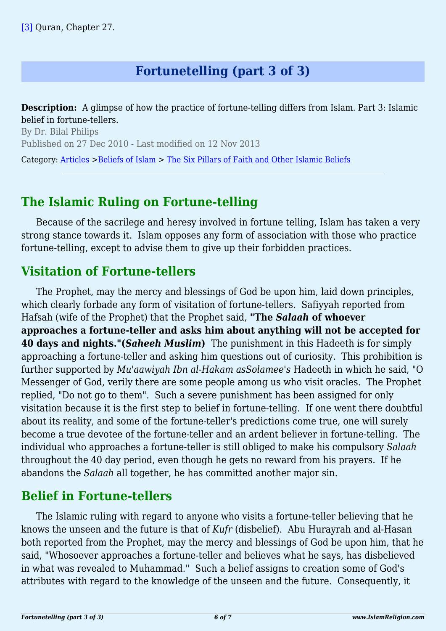## **Fortunetelling (part 3 of 3)**

<span id="page-5-0"></span>**Description:** A glimpse of how the practice of fortune-telling differs from Islam. Part 3: Islamic belief in fortune-tellers.

By Dr. Bilal Philips Published on 27 Dec 2010 - Last modified on 12 Nov 2013

Category: [Articles](http://www.islamreligion.com/articles/) >[Beliefs of Islam](http://www.islamreligion.com/category/48/) > [The Six Pillars of Faith and Other Islamic Beliefs](http://www.islamreligion.com/category/50/)

### **The Islamic Ruling on Fortune-telling**

Because of the sacrilege and heresy involved in fortune telling, Islam has taken a very strong stance towards it. Islam opposes any form of association with those who practice fortune-telling, except to advise them to give up their forbidden practices.

### **Visitation of Fortune-tellers**

The Prophet, may the mercy and blessings of God be upon him, laid down principles, which clearly forbade any form of visitation of fortune-tellers. Safiyyah reported from Hafsah (wife of the Prophet) that the Prophet said, **"The** *Salaah* **of whoever approaches a fortune-teller and asks him about anything will not be accepted for 40 days and nights."(***Saheeh Muslim***)** The punishment in this Hadeeth is for simply approaching a fortune-teller and asking him questions out of curiosity. This prohibition is further supported by *Mu'aawiyah Ibn al-Hakam asSolamee's* Hadeeth in which he said, "O Messenger of God, verily there are some people among us who visit oracles. The Prophet replied, "Do not go to them". Such a severe punishment has been assigned for only visitation because it is the first step to belief in fortune-telling. If one went there doubtful about its reality, and some of the fortune-teller's predictions come true, one will surely become a true devotee of the fortune-teller and an ardent believer in fortune-telling. The individual who approaches a fortune-teller is still obliged to make his compulsory *Salaah* throughout the 40 day period, even though he gets no reward from his prayers. If he abandons the *Salaah* all together, he has committed another major sin.

# **Belief in Fortune-tellers**

The Islamic ruling with regard to anyone who visits a fortune-teller believing that he knows the unseen and the future is that of *Kufr* (disbelief). Abu Hurayrah and al-Hasan both reported from the Prophet, may the mercy and blessings of God be upon him, that he said, "Whosoever approaches a fortune-teller and believes what he says, has disbelieved in what was revealed to Muhammad." Such a belief assigns to creation some of God's attributes with regard to the knowledge of the unseen and the future. Consequently, it